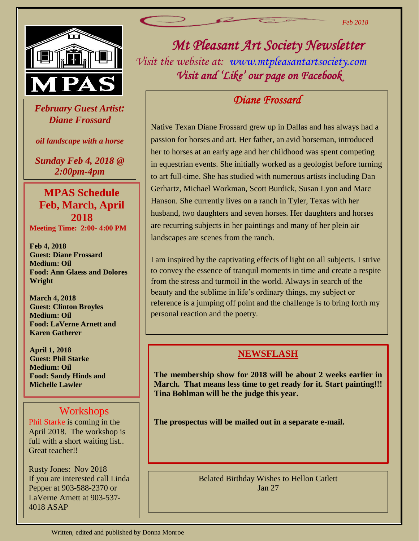

 *February Guest Artist: Diane Frossard*

*oil landscape with a horse*

*Sunday Feb 4, 2018 @ 2:00pm-4pm*

## **MPAS Schedule Feb, March, April 2018**

**Meeting Time: 2:00- 4:00 PM**

**Feb 4, 2018 Guest: Diane Frossard Medium: Oil Food: Ann Glaess and Dolores Wright**

**March 4, 2018 Guest: Clinton Broyles Medium: Oil Food: LaVerne Arnett and Karen Gatherer**

**April 1, 2018 Guest: Phil Starke Medium: Oil Food: Sandy Hinds and Michelle Lawler**

#### Workshops

Phil Starke is coming in the April 2018. The workshop is full with a short waiting list.. Great teacher!!

Rusty Jones: Nov 2018 If you are interested call Linda Pepper at 903-588-2370 or LaVerne Arnett at 903-537- 4018 ASAP

*Mt Pleasant Art Society Newsletter Visit the website at: [www.mtpleasantartsociety.com](http://www.mtpleasantartsociety.com/) Visit and 'Like' our page on Facebook* 

# *Diane Frossard*

Native Texan Diane Frossard grew up in Dallas and has always had a passion for horses and art. Her father, an avid horseman, introduced her to horses at an early age and her childhood was spent competing in equestrian events. She initially worked as a geologist before turning to art full-time. She has studied with numerous artists including Dan Gerhartz, Michael Workman, Scott Burdick, Susan Lyon and Marc Hanson. She currently lives on a ranch in Tyler, Texas with her husband, two daughters and seven horses. Her daughters and horses are recurring subjects in her paintings and many of her plein air landscapes are scenes from the ranch.

I am inspired by the captivating effects of light on all subjects. I strive to convey the essence of tranquil moments in time and create a respite from the stress and turmoil in the world. Always in search of the beauty and the sublime in life's ordinary things, my subject or reference is a jumping off point and the challenge is to bring forth my personal reaction and the poetry.

#### **NEWSFLASH**

**The membership show for 2018 will be about 2 weeks earlier in March. That means less time to get ready for it. Start painting!!! Tina Bohlman will be the judge this year.**

**The prospectus will be mailed out in a separate e-mail.** 

Belated Birthday Wishes to Hellon Catlett Jan 27